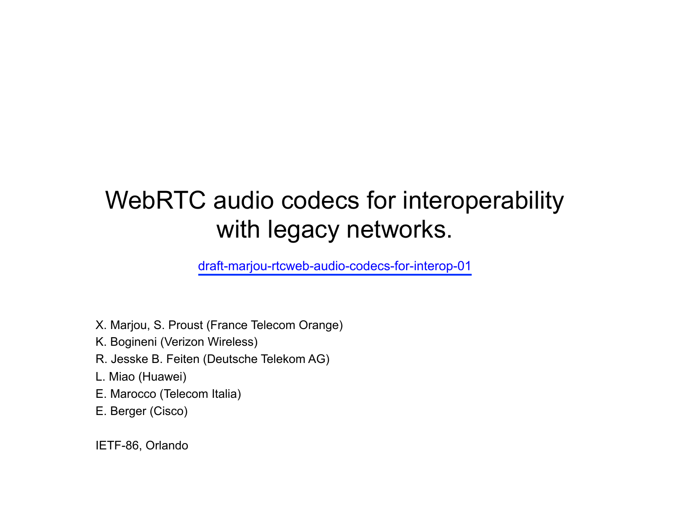### WebRTC audio codecs for interoperability with legacy networks.

draft-marjou-rtcweb-audio-codecs-for-interop-01

- X. Marjou, S. Proust (France Telecom Orange)
- K. Bogineni (Verizon Wireless)
- R. Jesske B. Feiten (Deutsche Telekom AG)
- L. Miao (Huawei)
- E. Marocco (Telecom Italia)
- E. Berger (Cisco)

IETF-86, Orlando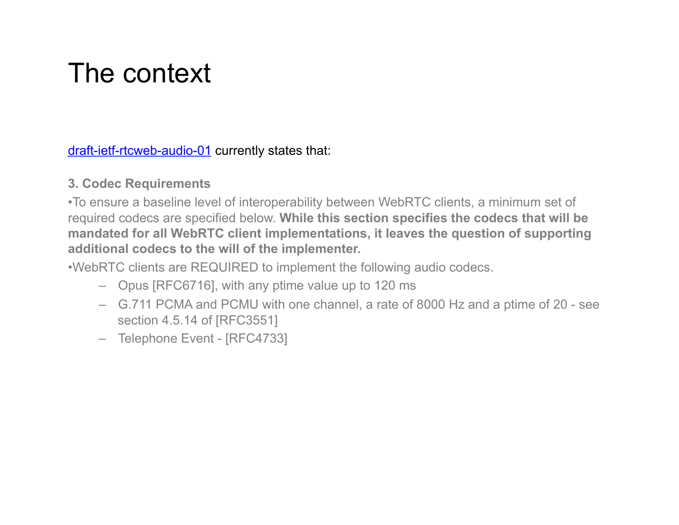# The context

draft-ietf-rtcweb-audio-01 currently states that:

#### **3. Codec Requirements**

•To ensure a baseline level of interoperability between WebRTC clients, a minimum set of required codecs are specified below. **While this section specifies the codecs that will be mandated for all WebRTC client implementations, it leaves the question of supporting additional codecs to the will of the implementer.** 

•WebRTC clients are REQUIRED to implement the following audio codecs.

- Opus [RFC6716], with any ptime value up to 120 ms
- G.711 PCMA and PCMU with one channel, a rate of 8000 Hz and a ptime of 20 see section 4.5.14 of [RFC3551]
- Telephone Event [RFC4733]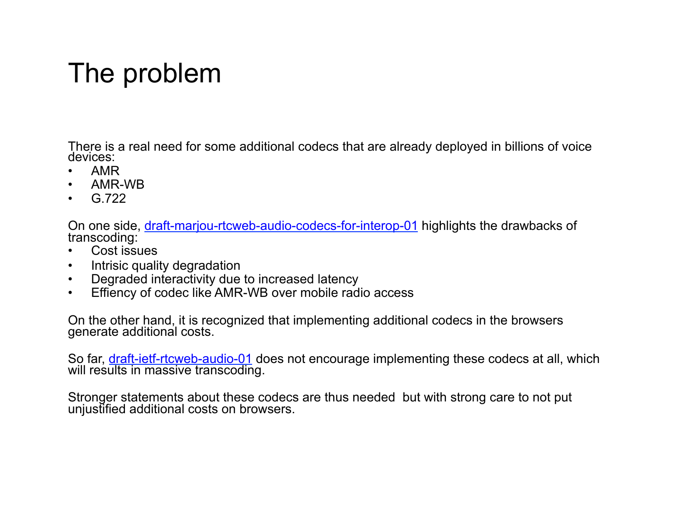## The problem

There is a real need for some additional codecs that are already deployed in billions of voice devices:

- AMR
- AMR-WB
- $G.722$

On one side, draft-marjou-rtcweb-audio-codecs-for-interop-01 highlights the drawbacks of transcoding:

- Cost issues
- Intrisic quality degradation
- Degraded interactivity due to increased latency
- Effiency of codec like AMR-WB over mobile radio access

On the other hand, it is recognized that implementing additional codecs in the browsers generate additional costs.

So far, **draft-ietf-rtcweb-audio-01** does not encourage implementing these codecs at all, which will results in massive transcoding.

Stronger statements about these codecs are thus needed but with strong care to not put unjustified additional costs on browsers.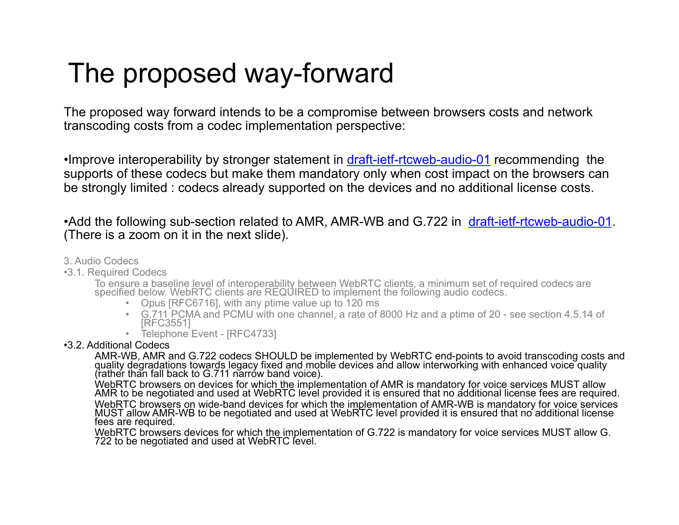## The proposed way-forward

The proposed way forward intends to be a compromise between browsers costs and network transcoding costs from a codec implementation perspective:

•Improve interoperability by stronger statement in draft-ietf-rtcweb-audio-01 recommending the supports of these codecs but make them mandatory only when cost impact on the browsers can be strongly limited : codecs already supported on the devices and no additional license costs.

•Add the following sub-section related to AMR, AMR-WB and G.722 in draft-ietf-rtcweb-audio-01. (There is a zoom on it in the next slide).

#### 3. Audio Codecs

•3.1. Required Codecs

To ensure a baseline level of interoperability between WebRTC clients, a minimum set of required codecs are specified below. WebRTC clients are REQUIRED to implement the following audio codecs.

- Opus [RFC6716], with any ptime value up to 120 ms
- G.711 PCMA and PCMU with one channel, a rate of 8000 Hz and a ptime of 20 see section 4.5.14 of [RFC3551]
- Telephone Event [RFC4733]

#### •3.2. Additional Codecs

AMR-WB, AMR and G.722 codecs SHOULD be implemented by WebRTC end-points to avoid transcoding costs and quality degradations towards legacy fixed and mobile devices and allow interworking with enhanced voice quality (rather than fall back to G.711 narrow band voice).

WebRTC browsers on devices for which the implementation of AMR is mandatory for voice services MUST allow AMR to be negotiated and used at WebRTC level provided it is ensured that no additional license fees are required. WebRTC browsers on wide-band devices for which the implementation of AMR-WB is mandatory for voice services MUST allow AMR-WB to be negotiated and used at WebRTC level provided it is ensured that no additional license fees are required.

WebRTC browsers devices for which the implementation of G.722 is mandatory for voice services MUST allow G. 722 to be negotiated and used at WebRTC level.